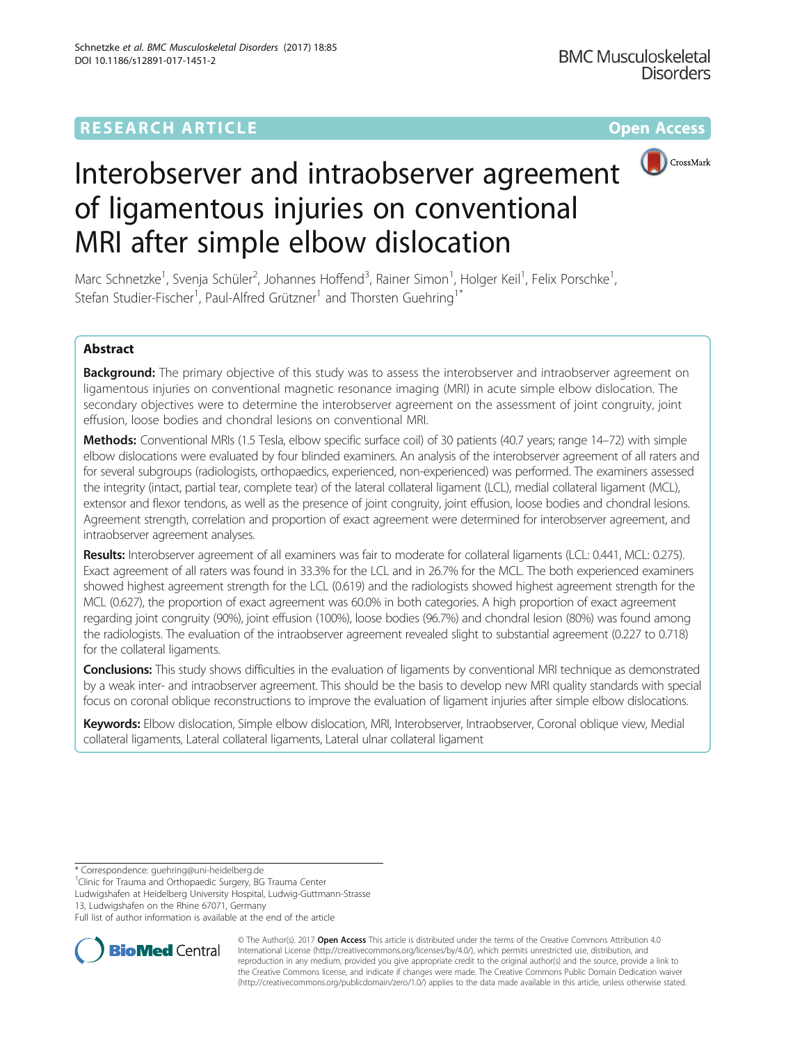

# Interobserver and intraobserver agreement of ligamentous injuries on conventional MRI after simple elbow dislocation

Marc Schnetzke<sup>1</sup>, Svenja Schüler<sup>2</sup>, Johannes Hoffend<sup>3</sup>, Rainer Simon<sup>1</sup>, Holger Keil<sup>1</sup>, Felix Porschke<sup>1</sup> , Stefan Studier-Fischer<sup>1</sup>, Paul-Alfred Grützner<sup>1</sup> and Thorsten Guehring<sup>1\*</sup>

# Abstract

Background: The primary objective of this study was to assess the interobserver and intraobserver agreement on ligamentous injuries on conventional magnetic resonance imaging (MRI) in acute simple elbow dislocation. The secondary objectives were to determine the interobserver agreement on the assessment of joint congruity, joint effusion, loose bodies and chondral lesions on conventional MRI.

Methods: Conventional MRIs (1.5 Tesla, elbow specific surface coil) of 30 patients (40.7 years; range 14–72) with simple elbow dislocations were evaluated by four blinded examiners. An analysis of the interobserver agreement of all raters and for several subgroups (radiologists, orthopaedics, experienced, non-experienced) was performed. The examiners assessed the integrity (intact, partial tear, complete tear) of the lateral collateral ligament (LCL), medial collateral ligament (MCL), extensor and flexor tendons, as well as the presence of joint congruity, joint effusion, loose bodies and chondral lesions. Agreement strength, correlation and proportion of exact agreement were determined for interobserver agreement, and intraobserver agreement analyses.

Results: Interobserver agreement of all examiners was fair to moderate for collateral ligaments (LCL: 0.441, MCL: 0.275). Exact agreement of all raters was found in 33.3% for the LCL and in 26.7% for the MCL. The both experienced examiners showed highest agreement strength for the LCL (0.619) and the radiologists showed highest agreement strength for the MCL (0.627), the proportion of exact agreement was 60.0% in both categories. A high proportion of exact agreement regarding joint congruity (90%), joint effusion (100%), loose bodies (96.7%) and chondral lesion (80%) was found among the radiologists. The evaluation of the intraobserver agreement revealed slight to substantial agreement (0.227 to 0.718) for the collateral ligaments.

**Conclusions:** This study shows difficulties in the evaluation of ligaments by conventional MRI technique as demonstrated by a weak inter- and intraobserver agreement. This should be the basis to develop new MRI quality standards with special focus on coronal oblique reconstructions to improve the evaluation of ligament injuries after simple elbow dislocations.

Keywords: Elbow dislocation, Simple elbow dislocation, MRI, Interobserver, Intraobserver, Coronal oblique view, Medial collateral ligaments, Lateral collateral ligaments, Lateral ulnar collateral ligament

\* Correspondence: [guehring@uni-heidelberg.de](mailto:guehring@uni-heidelberg.de) <sup>1</sup>

<sup>1</sup> Clinic for Trauma and Orthopaedic Surgery, BG Trauma Center

Ludwigshafen at Heidelberg University Hospital, Ludwig-Guttmann-Strasse 13, Ludwigshafen on the Rhine 67071, Germany

Full list of author information is available at the end of the article



© The Author(s). 2017 **Open Access** This article is distributed under the terms of the Creative Commons Attribution 4.0 International License [\(http://creativecommons.org/licenses/by/4.0/](http://creativecommons.org/licenses/by/4.0/)), which permits unrestricted use, distribution, and reproduction in any medium, provided you give appropriate credit to the original author(s) and the source, provide a link to the Creative Commons license, and indicate if changes were made. The Creative Commons Public Domain Dedication waiver [\(http://creativecommons.org/publicdomain/zero/1.0/](http://creativecommons.org/publicdomain/zero/1.0/)) applies to the data made available in this article, unless otherwise stated.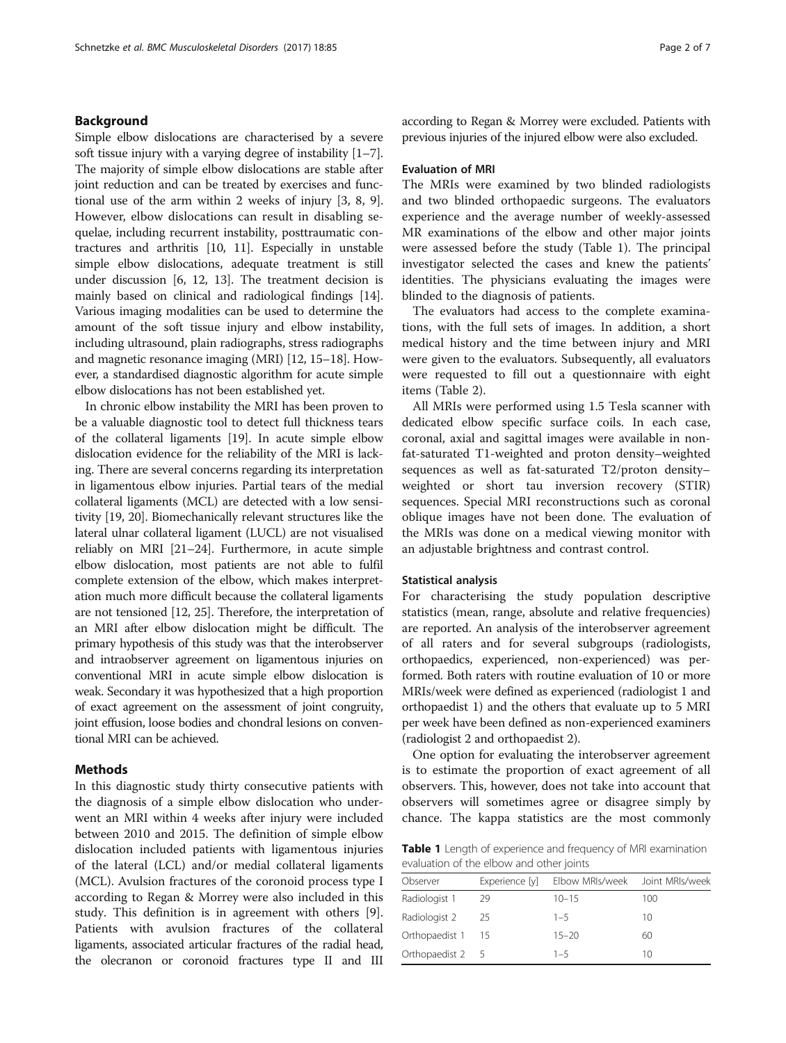## Background

Simple elbow dislocations are characterised by a severe soft tissue injury with a varying degree of instability  $[1-7]$  $[1-7]$  $[1-7]$  $[1-7]$  $[1-7]$ . The majority of simple elbow dislocations are stable after joint reduction and can be treated by exercises and functional use of the arm within 2 weeks of injury [[3](#page-6-0), [8](#page-6-0), [9](#page-6-0)]. However, elbow dislocations can result in disabling sequelae, including recurrent instability, posttraumatic contractures and arthritis [\[10](#page-6-0), [11\]](#page-6-0). Especially in unstable simple elbow dislocations, adequate treatment is still under discussion [\[6, 12](#page-6-0), [13\]](#page-6-0). The treatment decision is mainly based on clinical and radiological findings [[14](#page-6-0)]. Various imaging modalities can be used to determine the amount of the soft tissue injury and elbow instability, including ultrasound, plain radiographs, stress radiographs and magnetic resonance imaging (MRI) [[12](#page-6-0), [15](#page-6-0)–[18\]](#page-6-0). However, a standardised diagnostic algorithm for acute simple elbow dislocations has not been established yet.

In chronic elbow instability the MRI has been proven to be a valuable diagnostic tool to detect full thickness tears of the collateral ligaments [[19](#page-6-0)]. In acute simple elbow dislocation evidence for the reliability of the MRI is lacking. There are several concerns regarding its interpretation in ligamentous elbow injuries. Partial tears of the medial collateral ligaments (MCL) are detected with a low sensitivity [[19](#page-6-0), [20\]](#page-6-0). Biomechanically relevant structures like the lateral ulnar collateral ligament (LUCL) are not visualised reliably on MRI [\[21](#page-6-0)–[24](#page-6-0)]. Furthermore, in acute simple elbow dislocation, most patients are not able to fulfil complete extension of the elbow, which makes interpretation much more difficult because the collateral ligaments are not tensioned [[12](#page-6-0), [25\]](#page-6-0). Therefore, the interpretation of an MRI after elbow dislocation might be difficult. The primary hypothesis of this study was that the interobserver and intraobserver agreement on ligamentous injuries on conventional MRI in acute simple elbow dislocation is weak. Secondary it was hypothesized that a high proportion of exact agreement on the assessment of joint congruity, joint effusion, loose bodies and chondral lesions on conventional MRI can be achieved.

## Methods

In this diagnostic study thirty consecutive patients with the diagnosis of a simple elbow dislocation who underwent an MRI within 4 weeks after injury were included between 2010 and 2015. The definition of simple elbow dislocation included patients with ligamentous injuries of the lateral (LCL) and/or medial collateral ligaments (MCL). Avulsion fractures of the coronoid process type I according to Regan & Morrey were also included in this study. This definition is in agreement with others [\[9](#page-6-0)]. Patients with avulsion fractures of the collateral ligaments, associated articular fractures of the radial head, the olecranon or coronoid fractures type II and III according to Regan & Morrey were excluded. Patients with previous injuries of the injured elbow were also excluded.

#### Evaluation of MRI

The MRIs were examined by two blinded radiologists and two blinded orthopaedic surgeons. The evaluators experience and the average number of weekly-assessed MR examinations of the elbow and other major joints were assessed before the study (Table 1). The principal investigator selected the cases and knew the patients' identities. The physicians evaluating the images were blinded to the diagnosis of patients.

The evaluators had access to the complete examinations, with the full sets of images. In addition, a short medical history and the time between injury and MRI were given to the evaluators. Subsequently, all evaluators were requested to fill out a questionnaire with eight items (Table [2\)](#page-2-0).

All MRIs were performed using 1.5 Tesla scanner with dedicated elbow specific surface coils. In each case, coronal, axial and sagittal images were available in nonfat-saturated T1-weighted and proton density–weighted sequences as well as fat-saturated T2/proton density– weighted or short tau inversion recovery (STIR) sequences. Special MRI reconstructions such as coronal oblique images have not been done. The evaluation of the MRIs was done on a medical viewing monitor with an adjustable brightness and contrast control.

#### Statistical analysis

For characterising the study population descriptive statistics (mean, range, absolute and relative frequencies) are reported. An analysis of the interobserver agreement of all raters and for several subgroups (radiologists, orthopaedics, experienced, non-experienced) was performed. Both raters with routine evaluation of 10 or more MRIs/week were defined as experienced (radiologist 1 and orthopaedist 1) and the others that evaluate up to 5 MRI per week have been defined as non-experienced examiners (radiologist 2 and orthopaedist 2).

One option for evaluating the interobserver agreement is to estimate the proportion of exact agreement of all observers. This, however, does not take into account that observers will sometimes agree or disagree simply by chance. The kappa statistics are the most commonly

Table 1 Length of experience and frequency of MRI examination evaluation of the elbow and other joints

| Observer       | Experience [y] | Elbow MRIs/week | Joint MRIs/week |
|----------------|----------------|-----------------|-----------------|
| Radiologist 1  | 29             | $10 - 15$       | 100             |
| Radiologist 2  | 25             | $1 - 5$         | 10              |
| Orthopaedist 1 | 15             | $15 - 20$       | 60              |
| Orthopaedist 2 | 5              | $1 - 5$         | 10              |
|                |                |                 |                 |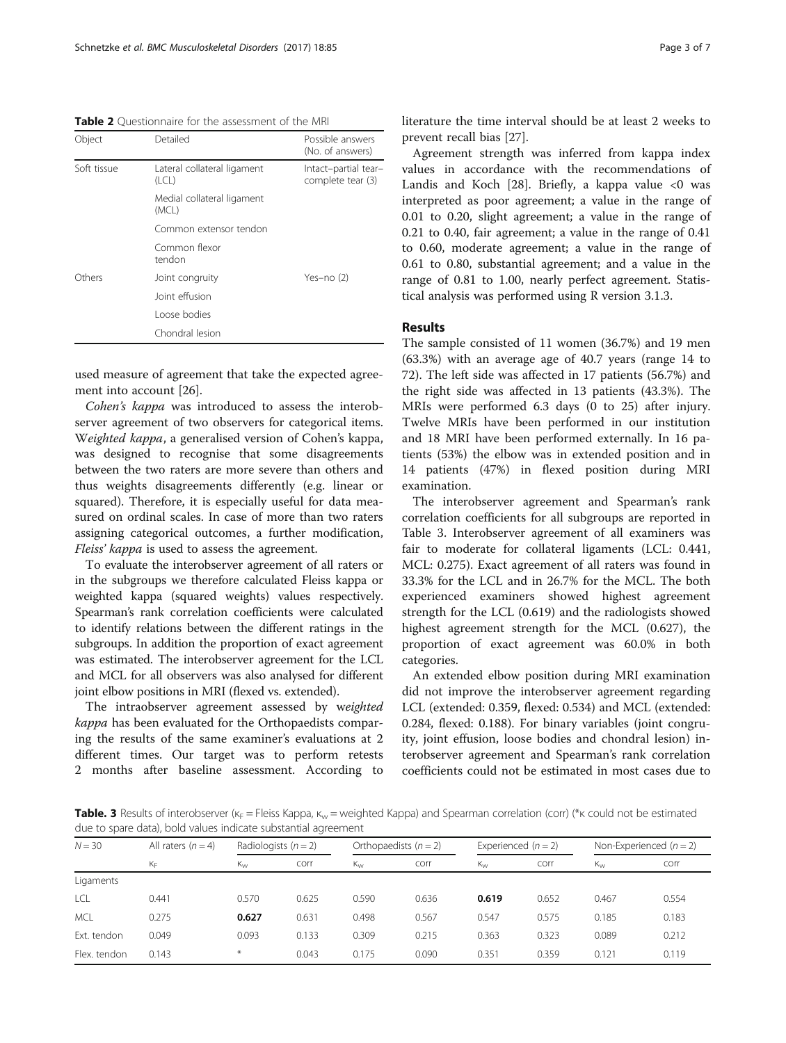<span id="page-2-0"></span>Table 2 Questionnaire for the assessment of the MRI

| Object      | Detailed                             | Possible answers<br>(No. of answers)      |  |  |
|-------------|--------------------------------------|-------------------------------------------|--|--|
| Soft tissue | Lateral collateral ligament<br>(LCL) | Intact-partial tear-<br>complete tear (3) |  |  |
|             | Medial collateral ligament<br>(MCL)  |                                           |  |  |
|             | Common extensor tendon               |                                           |  |  |
|             | Common flexor<br>tendon              |                                           |  |  |
| Others      | Joint congruity                      | Yes-no $(2)$                              |  |  |
|             | Joint effusion                       |                                           |  |  |
|             | Loose bodies                         |                                           |  |  |
|             | Chondral lesion                      |                                           |  |  |

used measure of agreement that take the expected agreement into account [\[26](#page-6-0)].

Cohen's kappa was introduced to assess the interobserver agreement of two observers for categorical items. Weighted kappa, a generalised version of Cohen's kappa, was designed to recognise that some disagreements between the two raters are more severe than others and thus weights disagreements differently (e.g. linear or squared). Therefore, it is especially useful for data measured on ordinal scales. In case of more than two raters assigning categorical outcomes, a further modification, Fleiss' kappa is used to assess the agreement.

To evaluate the interobserver agreement of all raters or in the subgroups we therefore calculated Fleiss kappa or weighted kappa (squared weights) values respectively. Spearman's rank correlation coefficients were calculated to identify relations between the different ratings in the subgroups. In addition the proportion of exact agreement was estimated. The interobserver agreement for the LCL and MCL for all observers was also analysed for different joint elbow positions in MRI (flexed vs. extended).

The intraobserver agreement assessed by weighted kappa has been evaluated for the Orthopaedists comparing the results of the same examiner's evaluations at 2 different times. Our target was to perform retests 2 months after baseline assessment. According to literature the time interval should be at least 2 weeks to prevent recall bias [[27](#page-6-0)].

Agreement strength was inferred from kappa index values in accordance with the recommendations of Landis and Koch [[28](#page-6-0)]. Briefly, a kappa value <0 was interpreted as poor agreement; a value in the range of 0.01 to 0.20, slight agreement; a value in the range of 0.21 to 0.40, fair agreement; a value in the range of 0.41 to 0.60, moderate agreement; a value in the range of 0.61 to 0.80, substantial agreement; and a value in the range of 0.81 to 1.00, nearly perfect agreement. Statistical analysis was performed using R version 3.1.3.

## Results

The sample consisted of 11 women (36.7%) and 19 men (63.3%) with an average age of 40.7 years (range 14 to 72). The left side was affected in 17 patients (56.7%) and the right side was affected in 13 patients (43.3%). The MRIs were performed 6.3 days (0 to 25) after injury. Twelve MRIs have been performed in our institution and 18 MRI have been performed externally. In 16 patients (53%) the elbow was in extended position and in 14 patients (47%) in flexed position during MRI examination.

The interobserver agreement and Spearman's rank correlation coefficients for all subgroups are reported in Table 3. Interobserver agreement of all examiners was fair to moderate for collateral ligaments (LCL: 0.441, MCL: 0.275). Exact agreement of all raters was found in 33.3% for the LCL and in 26.7% for the MCL. The both experienced examiners showed highest agreement strength for the LCL (0.619) and the radiologists showed highest agreement strength for the MCL (0.627), the proportion of exact agreement was 60.0% in both categories.

An extended elbow position during MRI examination did not improve the interobserver agreement regarding LCL (extended: 0.359, flexed: 0.534) and MCL (extended: 0.284, flexed: 0.188). For binary variables (joint congruity, joint effusion, loose bodies and chondral lesion) interobserver agreement and Spearman's rank correlation coefficients could not be estimated in most cases due to

Table. 3 Results of interobserver ( $\kappa_F$  = Fleiss Kappa,  $\kappa_w$  = weighted Kappa) and Spearman correlation (corr) (\* $\kappa$  could not be estimated due to spare data), bold values indicate substantial agreement

| $N = 30$     | All raters $(n = 4)$ | Radiologists $(n = 2)$ |       | Orthopaedists $(n = 2)$ |       | Experienced $(n = 2)$ |       | Non-Experienced $(n = 2)$ |       |
|--------------|----------------------|------------------------|-------|-------------------------|-------|-----------------------|-------|---------------------------|-------|
|              | $K_F$                | $K_W$                  | corr  | $K_{VV}$                | corr  | $K_{\text{W}}$        | corr  | $K_{\rm W}$               | corr  |
| Ligaments    |                      |                        |       |                         |       |                       |       |                           |       |
| LCL          | 0.441                | 0.570                  | 0.625 | 0.590                   | 0.636 | 0.619                 | 0.652 | 0.467                     | 0.554 |
| MCL          | 0.275                | 0.627                  | 0.631 | 0.498                   | 0.567 | 0.547                 | 0.575 | 0.185                     | 0.183 |
| Ext. tendon  | 0.049                | 0.093                  | 0.133 | 0.309                   | 0.215 | 0.363                 | 0.323 | 0.089                     | 0.212 |
| Flex. tendon | 0.143                | $*$                    | 0.043 | 0.175                   | 0.090 | 0.351                 | 0.359 | 0.121                     | 0.119 |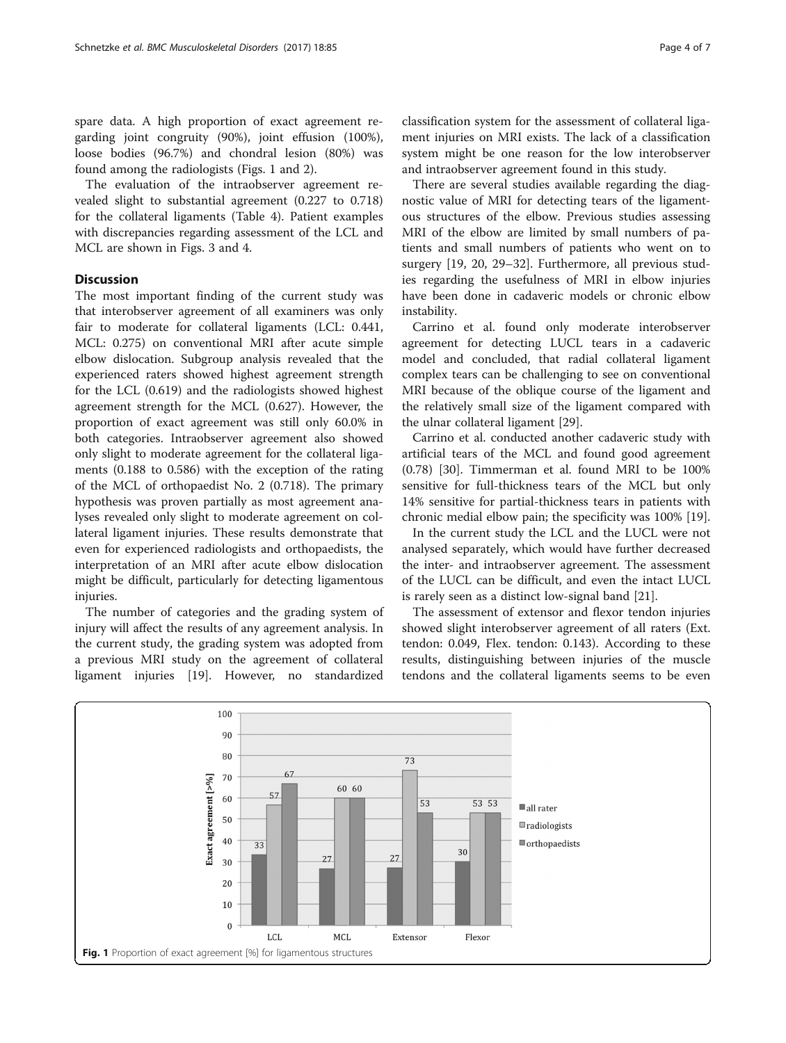The evaluation of the intraobserver agreement revealed slight to substantial agreement (0.227 to 0.718) for the collateral ligaments (Table [4](#page-4-0)). Patient examples with discrepancies regarding assessment of the LCL and MCL are shown in Figs. [3](#page-4-0) and [4.](#page-5-0)

## **Discussion**

The most important finding of the current study was that interobserver agreement of all examiners was only fair to moderate for collateral ligaments (LCL: 0.441, MCL: 0.275) on conventional MRI after acute simple elbow dislocation. Subgroup analysis revealed that the experienced raters showed highest agreement strength for the LCL (0.619) and the radiologists showed highest agreement strength for the MCL (0.627). However, the proportion of exact agreement was still only 60.0% in both categories. Intraobserver agreement also showed only slight to moderate agreement for the collateral ligaments (0.188 to 0.586) with the exception of the rating of the MCL of orthopaedist No. 2 (0.718). The primary hypothesis was proven partially as most agreement analyses revealed only slight to moderate agreement on collateral ligament injuries. These results demonstrate that even for experienced radiologists and orthopaedists, the interpretation of an MRI after acute elbow dislocation might be difficult, particularly for detecting ligamentous injuries.

The number of categories and the grading system of injury will affect the results of any agreement analysis. In the current study, the grading system was adopted from a previous MRI study on the agreement of collateral ligament injuries [\[19](#page-6-0)]. However, no standardized

classification system for the assessment of collateral ligament injuries on MRI exists. The lack of a classification system might be one reason for the low interobserver and intraobserver agreement found in this study.

There are several studies available regarding the diagnostic value of MRI for detecting tears of the ligamentous structures of the elbow. Previous studies assessing MRI of the elbow are limited by small numbers of patients and small numbers of patients who went on to surgery [[19](#page-6-0), [20](#page-6-0), [29](#page-6-0)–[32\]](#page-6-0). Furthermore, all previous studies regarding the usefulness of MRI in elbow injuries have been done in cadaveric models or chronic elbow instability.

Carrino et al. found only moderate interobserver agreement for detecting LUCL tears in a cadaveric model and concluded, that radial collateral ligament complex tears can be challenging to see on conventional MRI because of the oblique course of the ligament and the relatively small size of the ligament compared with the ulnar collateral ligament [[29](#page-6-0)].

Carrino et al. conducted another cadaveric study with artificial tears of the MCL and found good agreement (0.78) [[30\]](#page-6-0). Timmerman et al. found MRI to be 100% sensitive for full-thickness tears of the MCL but only 14% sensitive for partial-thickness tears in patients with chronic medial elbow pain; the specificity was 100% [\[19](#page-6-0)].

In the current study the LCL and the LUCL were not analysed separately, which would have further decreased the inter- and intraobserver agreement. The assessment of the LUCL can be difficult, and even the intact LUCL is rarely seen as a distinct low-signal band [\[21](#page-6-0)].

The assessment of extensor and flexor tendon injuries showed slight interobserver agreement of all raters (Ext. tendon: 0.049, Flex. tendon: 0.143). According to these results, distinguishing between injuries of the muscle tendons and the collateral ligaments seems to be even

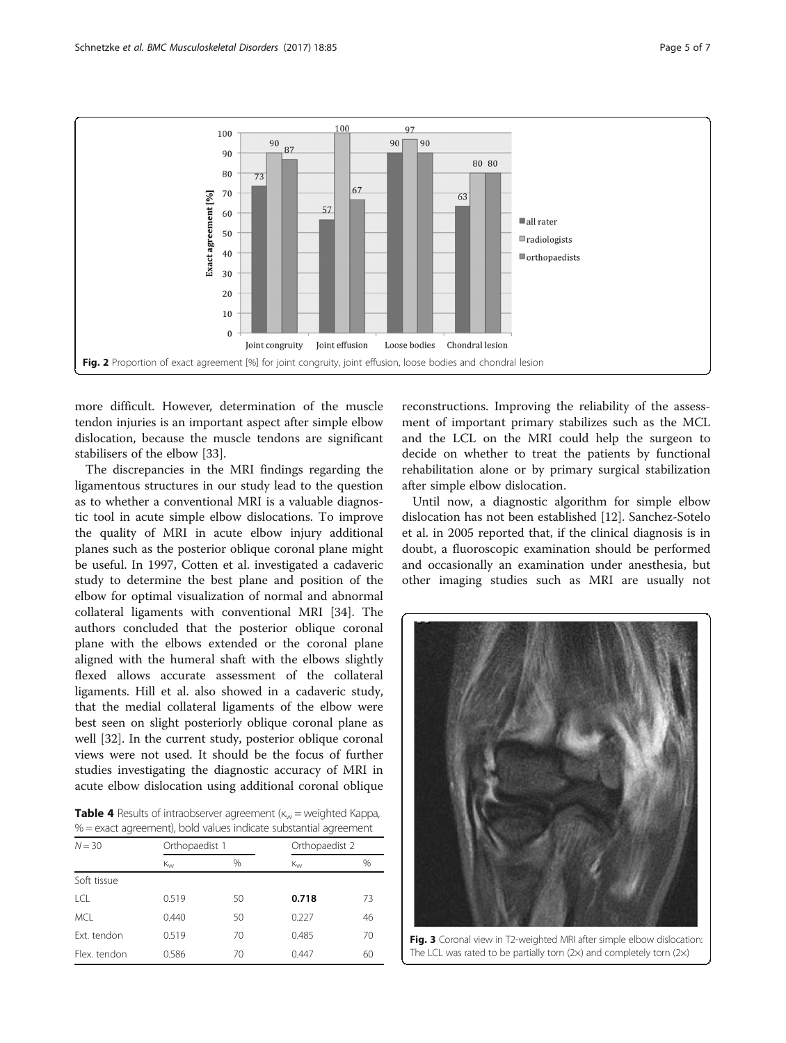<span id="page-4-0"></span>

more difficult. However, determination of the muscle tendon injuries is an important aspect after simple elbow dislocation, because the muscle tendons are significant stabilisers of the elbow [\[33](#page-6-0)].

The discrepancies in the MRI findings regarding the ligamentous structures in our study lead to the question as to whether a conventional MRI is a valuable diagnostic tool in acute simple elbow dislocations. To improve the quality of MRI in acute elbow injury additional planes such as the posterior oblique coronal plane might be useful. In 1997, Cotten et al. investigated a cadaveric study to determine the best plane and position of the elbow for optimal visualization of normal and abnormal collateral ligaments with conventional MRI [[34](#page-6-0)]. The authors concluded that the posterior oblique coronal plane with the elbows extended or the coronal plane aligned with the humeral shaft with the elbows slightly flexed allows accurate assessment of the collateral ligaments. Hill et al. also showed in a cadaveric study, that the medial collateral ligaments of the elbow were best seen on slight posteriorly oblique coronal plane as well [\[32](#page-6-0)]. In the current study, posterior oblique coronal views were not used. It should be the focus of further studies investigating the diagnostic accuracy of MRI in acute elbow dislocation using additional coronal oblique

**Table 4** Results of intraobserver agreement  $(\kappa_w =$  weighted Kappa, % = exact agreement), bold values indicate substantial agreement

| $N = 30$     | Orthopaedist 1 |      | Orthopaedist 2 |    |  |
|--------------|----------------|------|----------------|----|--|
|              | $K_{\text{W}}$ | $\%$ | $K_{\text{W}}$ | %  |  |
| Soft tissue  |                |      |                |    |  |
| LCL          | 0.519          | 50   | 0.718          | 73 |  |
| MCL.         | 0.440          | 50   | 0.227          | 46 |  |
| Ext. tendon  | 0.519          | 70   | 0.485          | 70 |  |
| Flex. tendon | 0.586          | 70   | 0.447          | 60 |  |

reconstructions. Improving the reliability of the assessment of important primary stabilizes such as the MCL and the LCL on the MRI could help the surgeon to decide on whether to treat the patients by functional rehabilitation alone or by primary surgical stabilization after simple elbow dislocation.

Until now, a diagnostic algorithm for simple elbow dislocation has not been established [[12](#page-6-0)]. Sanchez-Sotelo et al. in 2005 reported that, if the clinical diagnosis is in doubt, a fluoroscopic examination should be performed and occasionally an examination under anesthesia, but other imaging studies such as MRI are usually not



Fig. 3 Coronal view in T2-weighted MRI after simple elbow dislocation: The LCL was rated to be partially torn (2×) and completely torn (2×)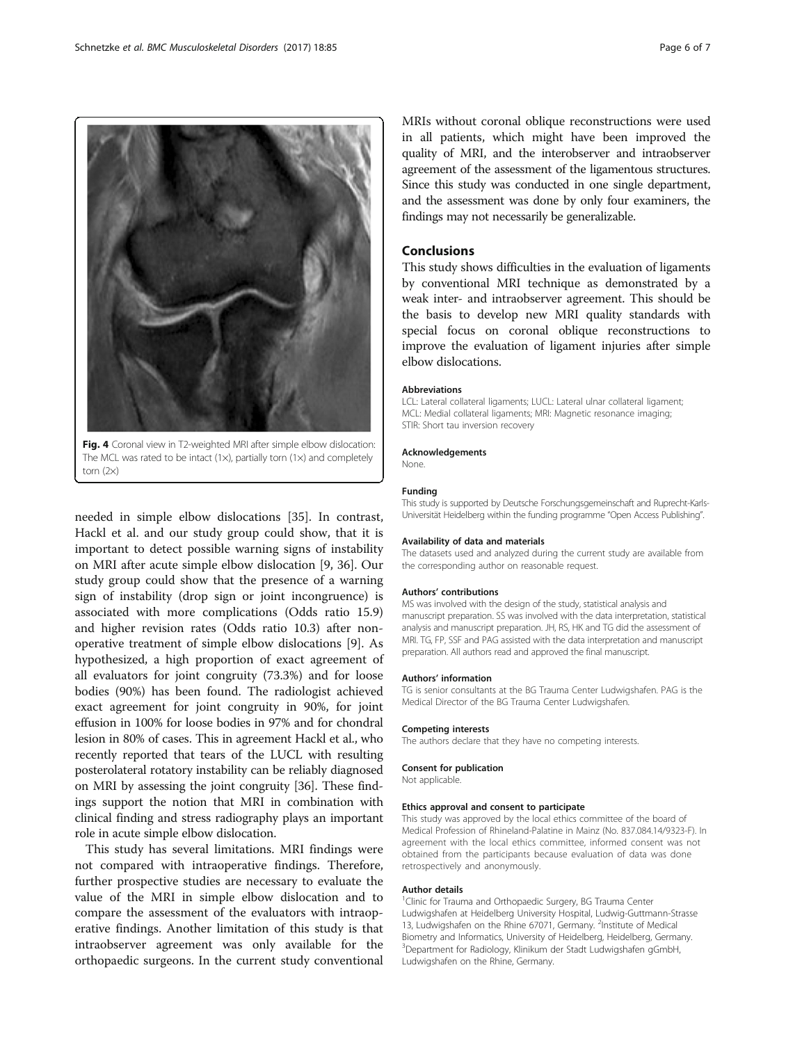<span id="page-5-0"></span>

Fig. 4 Coronal view in T2-weighted MRI after simple elbow dislocation: The MCL was rated to be intact  $(1\times)$ , partially torn  $(1\times)$  and completely torn (2×)

needed in simple elbow dislocations [\[35\]](#page-6-0). In contrast, Hackl et al. and our study group could show, that it is important to detect possible warning signs of instability on MRI after acute simple elbow dislocation [[9](#page-6-0), [36](#page-6-0)]. Our study group could show that the presence of a warning sign of instability (drop sign or joint incongruence) is associated with more complications (Odds ratio 15.9) and higher revision rates (Odds ratio 10.3) after nonoperative treatment of simple elbow dislocations [[9\]](#page-6-0). As hypothesized, a high proportion of exact agreement of all evaluators for joint congruity (73.3%) and for loose bodies (90%) has been found. The radiologist achieved exact agreement for joint congruity in 90%, for joint effusion in 100% for loose bodies in 97% and for chondral lesion in 80% of cases. This in agreement Hackl et al., who recently reported that tears of the LUCL with resulting posterolateral rotatory instability can be reliably diagnosed on MRI by assessing the joint congruity [[36\]](#page-6-0). These findings support the notion that MRI in combination with clinical finding and stress radiography plays an important role in acute simple elbow dislocation.

This study has several limitations. MRI findings were not compared with intraoperative findings. Therefore, further prospective studies are necessary to evaluate the value of the MRI in simple elbow dislocation and to compare the assessment of the evaluators with intraoperative findings. Another limitation of this study is that intraobserver agreement was only available for the orthopaedic surgeons. In the current study conventional

MRIs without coronal oblique reconstructions were used in all patients, which might have been improved the quality of MRI, and the interobserver and intraobserver agreement of the assessment of the ligamentous structures. Since this study was conducted in one single department, and the assessment was done by only four examiners, the findings may not necessarily be generalizable.

### Conclusions

This study shows difficulties in the evaluation of ligaments by conventional MRI technique as demonstrated by a weak inter- and intraobserver agreement. This should be the basis to develop new MRI quality standards with special focus on coronal oblique reconstructions to improve the evaluation of ligament injuries after simple elbow dislocations.

#### Abbreviations

LCL: Lateral collateral ligaments; LUCL: Lateral ulnar collateral ligament; MCL: Medial collateral ligaments; MRI: Magnetic resonance imaging; STIR: Short tau inversion recovery

#### Acknowledgements

None.

#### Funding

This study is supported by Deutsche Forschungsgemeinschaft and Ruprecht-Karls-Universität Heidelberg within the funding programme "Open Access Publishing".

#### Availability of data and materials

The datasets used and analyzed during the current study are available from the corresponding author on reasonable request.

#### Authors' contributions

MS was involved with the design of the study, statistical analysis and manuscript preparation. SS was involved with the data interpretation, statistical analysis and manuscript preparation. JH, RS, HK and TG did the assessment of MRI. TG, FP, SSF and PAG assisted with the data interpretation and manuscript preparation. All authors read and approved the final manuscript.

#### Authors' information

TG is senior consultants at the BG Trauma Center Ludwigshafen. PAG is the Medical Director of the BG Trauma Center Ludwigshafen.

#### Competing interests

The authors declare that they have no competing interests.

#### Consent for publication

Not applicable.

#### Ethics approval and consent to participate

This study was approved by the local ethics committee of the board of Medical Profession of Rhineland-Palatine in Mainz (No. 837.084.14/9323-F). In agreement with the local ethics committee, informed consent was not obtained from the participants because evaluation of data was done retrospectively and anonymously.

#### Author details

<sup>1</sup> Clinic for Trauma and Orthopaedic Surgery, BG Trauma Center Ludwigshafen at Heidelberg University Hospital, Ludwig-Guttmann-Strasse 13, Ludwigshafen on the Rhine 67071, Germany. <sup>2</sup>Institute of Medical Biometry and Informatics, University of Heidelberg, Heidelberg, Germany. 3 Department for Radiology, Klinikum der Stadt Ludwigshafen gGmbH, Ludwigshafen on the Rhine, Germany.